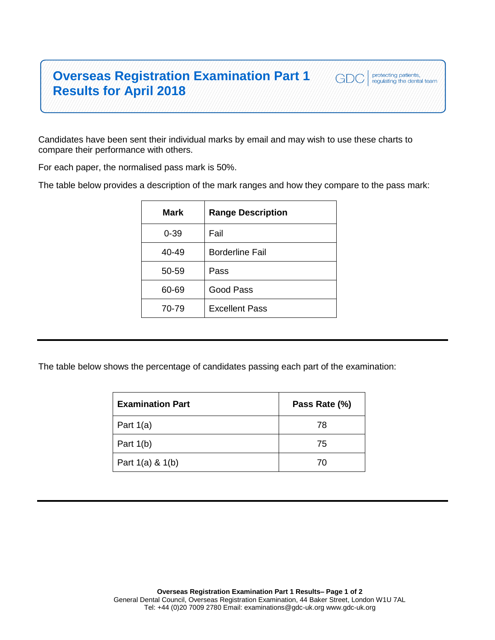## **Overseas Registration Examination Part 1 Results for April 2018**

Candidates have been sent their individual marks by email and may wish to use these charts to compare their performance with others.

For each paper, the normalised pass mark is 50%.

The table below provides a description of the mark ranges and how they compare to the pass mark:

protecting patients,<br>regulating the dental team

GDC

| Mark     | <b>Range Description</b> |
|----------|--------------------------|
| $0 - 39$ | Fail                     |
| 40-49    | <b>Borderline Fail</b>   |
| 50-59    | Pass                     |
| 60-69    | Good Pass                |
| 70-79    | <b>Excellent Pass</b>    |
|          |                          |

The table below shows the percentage of candidates passing each part of the examination:

| <b>Examination Part</b> | Pass Rate (%) |
|-------------------------|---------------|
| Part $1(a)$             | 78            |
| Part $1(b)$             | 75            |
| Part $1(a)$ & $1(b)$    | 70            |